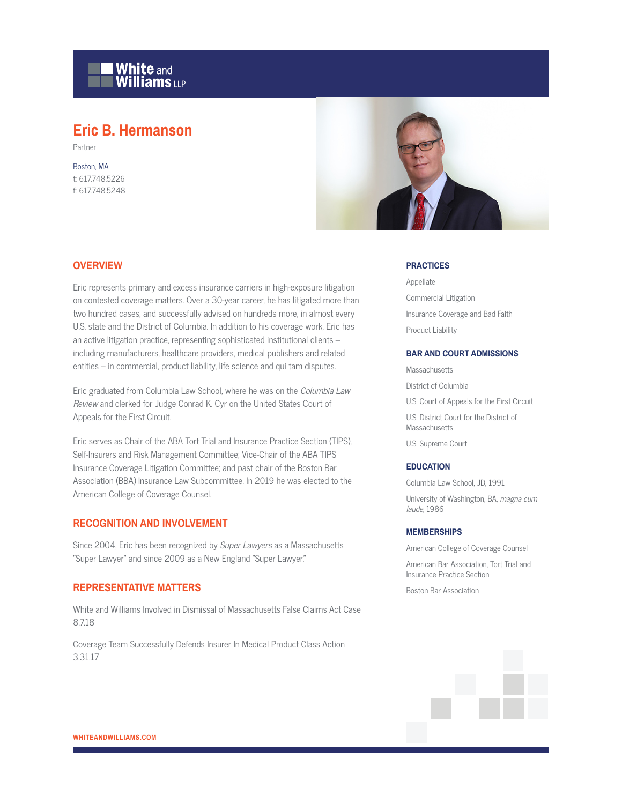

# **Eric B. Hermanson**

Partner

Boston, MA t: 617.748.5226 f: 617.748.5248



#### **OVERVIEW**

Eric represents primary and excess insurance carriers in high-exposure litigation on contested coverage matters. Over a 30-year career, he has litigated more than two hundred cases, and successfully advised on hundreds more, in almost every U.S. state and the District of Columbia. In addition to his coverage work, Eric has an active litigation practice, representing sophisticated institutional clients – including manufacturers, healthcare providers, medical publishers and related entities – in commercial, product liability, life science and qui tam disputes.

Eric graduated from Columbia Law School, where he was on the Columbia Law Review and clerked for Judge Conrad K. Cyr on the United States Court of Appeals for the First Circuit.

Eric serves as Chair of the ABA Tort Trial and Insurance Practice Section (TIPS), Self-Insurers and Risk Management Committee; Vice-Chair of the ABA TIPS Insurance Coverage Litigation Committee; and past chair of the Boston Bar Association (BBA) Insurance Law Subcommittee. In 2019 he was elected to the American College of Coverage Counsel.

# **RECOGNITION AND INVOLVEMENT**

Since 2004, Eric has been recognized by Super Lawyers as a Massachusetts "Super Lawyer" and since 2009 as a New England "Super Lawyer."

## **REPRESENTATIVE MATTERS**

White and Williams Involved in Dismissal of Massachusetts False Claims Act Case 8.7.18

Coverage Team Successfully Defends Insurer In Medical Product Class Action 3.31.17

#### **PRACTICES**

Appellate Commercial Litigation Insurance Coverage and Bad Faith Product Liability

## **BAR AND COURT ADMISSIONS**

**Massachusetts** 

District of Columbia

U.S. Court of Appeals for the First Circuit

U.S. District Court for the District of Massachusetts

U.S. Supreme Court

#### **EDUCATION**

Columbia Law School, JD, 1991

University of Washington, BA, magna cum laude, 1986

#### **MEMBERSHIPS**

American College of Coverage Counsel

American Bar Association, Tort Trial and Insurance Practice Section

Boston Bar Association

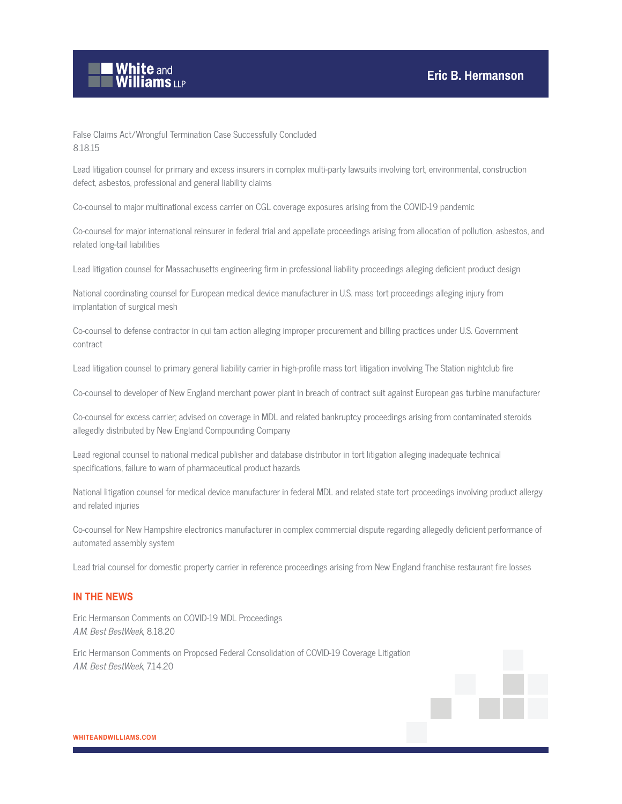

False Claims Act/Wrongful Termination Case Successfully Concluded 8.18.15

Lead litigation counsel for primary and excess insurers in complex multi-party lawsuits involving tort, environmental, construction defect, asbestos, professional and general liability claims

Co-counsel to major multinational excess carrier on CGL coverage exposures arising from the COVID-19 pandemic

Co-counsel for major international reinsurer in federal trial and appellate proceedings arising from allocation of pollution, asbestos, and related long-tail liabilities

Lead litigation counsel for Massachusetts engineering firm in professional liability proceedings alleging deficient product design

National coordinating counsel for European medical device manufacturer in U.S. mass tort proceedings alleging injury from implantation of surgical mesh

Co-counsel to defense contractor in qui tam action alleging improper procurement and billing practices under U.S. Government contract

Lead litigation counsel to primary general liability carrier in high-profile mass tort litigation involving The Station nightclub fire

Co-counsel to developer of New England merchant power plant in breach of contract suit against European gas turbine manufacturer

Co-counsel for excess carrier; advised on coverage in MDL and related bankruptcy proceedings arising from contaminated steroids allegedly distributed by New England Compounding Company

Lead regional counsel to national medical publisher and database distributor in tort litigation alleging inadequate technical specifications, failure to warn of pharmaceutical product hazards

National litigation counsel for medical device manufacturer in federal MDL and related state tort proceedings involving product allergy and related injuries

Co-counsel for New Hampshire electronics manufacturer in complex commercial dispute regarding allegedly deficient performance of automated assembly system

Lead trial counsel for domestic property carrier in reference proceedings arising from New England franchise restaurant fire losses

# **IN THE NEWS**

Eric Hermanson Comments on COVID-19 MDL Proceedings A.M. Best BestWeek, 8.18.20

Eric Hermanson Comments on Proposed Federal Consolidation of COVID-19 Coverage Litigation A.M. Best BestWeek, 7.14.20

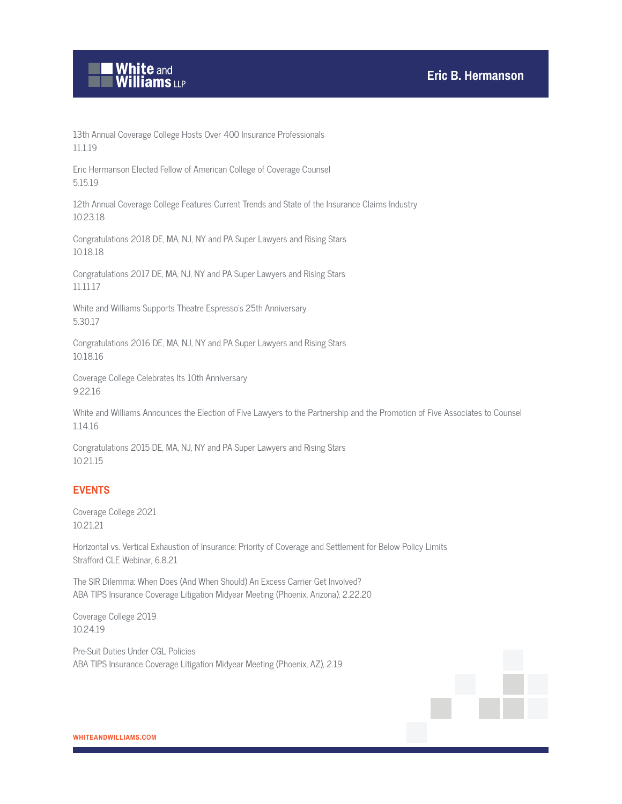

13th Annual Coverage College Hosts Over 400 Insurance Professionals 11.1.19

Eric Hermanson Elected Fellow of American College of Coverage Counsel 5.15.19

12th Annual Coverage College Features Current Trends and State of the Insurance Claims Industry 10.23.18

Congratulations 2018 DE, MA, NJ, NY and PA Super Lawyers and Rising Stars 10.18.18

Congratulations 2017 DE, MA, NJ, NY and PA Super Lawyers and Rising Stars 11.11.17

White and Williams Supports Theatre Espresso's 25th Anniversary 5.30.17

Congratulations 2016 DE, MA, NJ, NY and PA Super Lawyers and Rising Stars 10.18.16

Coverage College Celebrates Its 10th Anniversary 9.22.16

White and Williams Announces the Election of Five Lawyers to the Partnership and the Promotion of Five Associates to Counsel 1.14.16

Congratulations 2015 DE, MA, NJ, NY and PA Super Lawyers and Rising Stars 10.21.15

# **EVENTS**

Coverage College 2021 10.21.21

Horizontal vs. Vertical Exhaustion of Insurance: Priority of Coverage and Settlement for Below Policy Limits Strafford CLE Webinar, 6.8.21

The SIR Dilemma: When Does (And When Should) An Excess Carrier Get Involved? ABA TIPS Insurance Coverage Litigation Midyear Meeting (Phoenix, Arizona), 2.22.20

Coverage College 2019 10.24.19

Pre-Suit Duties Under CGL Policies ABA TIPS Insurance Coverage Litigation Midyear Meeting (Phoenix, AZ), 2.19

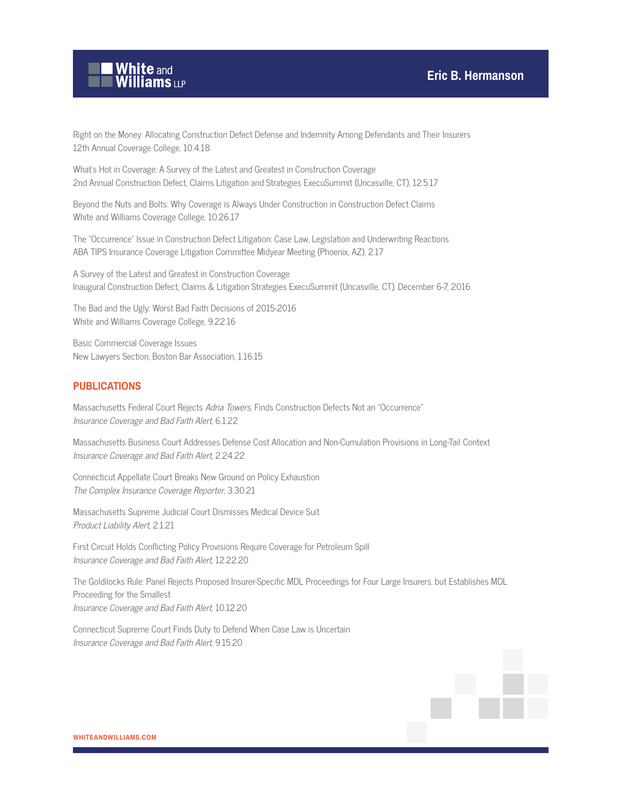



Right on the Money: Allocating Construction Defect Defense and Indemnity Among Defendants and Their Insurers 12th Annual Coverage College, 10.4.18

What's Hot in Coverage: A Survey of the Latest and Greatest in Construction Coverage 2nd Annual Construction Defect, Claims Litigation and Strategies ExecuSummit (Uncasville, CT), 12.5.17

Beyond the Nuts and Bolts: Why Coverage is Always Under Construction in Construction Defect Claims White and Williams Coverage College, 10.26.17

The "Occurrence" Issue in Construction Defect Litigation: Case Law, Legislation and Underwriting Reactions ABA TIPS Insurance Coverage Litigation Committee Midyear Meeting (Phoenix, AZ), 2.17

A Survey of the Latest and Greatest in Construction Coverage Inaugural Construction Defect, Claims & Litigation Strategies ExecuSummit (Uncasville, CT), December 6-7, 2016

The Bad and the Ugly: Worst Bad Faith Decisions of 2015-2016 White and Williams Coverage College, 9.22.16

Basic Commercial Coverage Issues New Lawyers Section, Boston Bar Association, 1.16.15

# **PUBLICATIONS**

Massachusetts Federal Court Rejects Adria Towers, Finds Construction Defects Not an "Occurrence" Insurance Coverage and Bad Faith Alert, 6.1.22

Massachusetts Business Court Addresses Defense Cost Allocation and Non-Cumulation Provisions in Long-Tail Context Insurance Coverage and Bad Faith Alert, 2.24.22

Connecticut Appellate Court Breaks New Ground on Policy Exhaustion The Complex Insurance Coverage Reporter, 3.30.21

Massachusetts Supreme Judicial Court Dismisses Medical Device Suit Product Liability Alert, 2.1.21

First Circuit Holds Conflicting Policy Provisions Require Coverage for Petroleum Spill Insurance Coverage and Bad Faith Alert, 12.22.20

The Goldilocks Rule: Panel Rejects Proposed Insurer-Specific MDL Proceedings for Four Large Insurers, but Establishes MDL Proceeding for the Smallest Insurance Coverage and Bad Faith Alert, 10.12.20

Connecticut Supreme Court Finds Duty to Defend When Case Law is Uncertain Insurance Coverage and Bad Faith Alert, 9.15.20